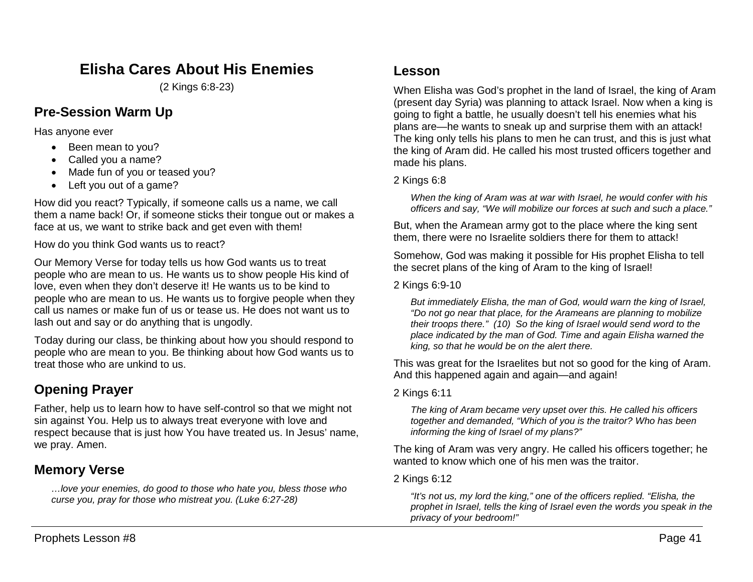# **Elisha Cares About His Enemies**

(2 Kings 6:8-23)

## **Pre-Session Warm Up**

Has anyone ever

- Been mean to you?
- Called you a name?
- Made fun of you or teased you?
- Left you out of a game?

How did you react? Typically, if someone calls us a name, we call them a name back! Or, if someone sticks their tongue out or makes a face at us, we want to strike back and get even with them!

How do you think God wants us to react?

Our Memory Verse for today tells us how God wants us to treat people who are mean to us. He wants us to show people His kind of love, even when they don't deserve it! He wants us to be kind to people who are mean to us. He wants us to forgive people when they call us names or make fun of us or tease us. He does not want us to lash out and say or do anything that is ungodly.

Today during our class, be thinking about how you should respond to people who are mean to you. Be thinking about how God wants us to treat those who are unkind to us.

# **Opening Prayer**

Father, help us to learn how to have self-control so that we might not sin against You. Help us to always treat everyone with love and respect because that is just how You have treated us. In Jesus' name, we pray. Amen.

## **Memory Verse**

*…love your enemies, do good to those who hate you, bless those who curse you, pray for those who mistreat you. (Luke 6:27-28)*

### **Lesson**

When Elisha was God's prophet in the land of Israel, the king of Aram (present day Syria) was planning to attack Israel. Now when a king is going to fight a battle, he usually doesn't tell his enemies what his plans are—he wants to sneak up and surprise them with an attack! The king only tells his plans to men he can trust, and this is just what the king of Aram did. He called his most trusted officers together and made his plans.

### 2 Kings 6:8

*When the king of Aram was at war with Israel, he would confer with his officers and say, "We will mobilize our forces at such and such a place."*

But, when the Aramean army got to the place where the king sent them, there were no Israelite soldiers there for them to attack!

Somehow, God was making it possible for His prophet Elisha to tell the secret plans of the king of Aram to the king of Israel!

#### 2 Kings 6:9-10

*But immediately Elisha, the man of God, would warn the king of Israel, "Do not go near that place, for the Arameans are planning to mobilize their troops there." (10) So the king of Israel would send word to the place indicated by the man of God. Time and again Elisha warned the king, so that he would be on the alert there.*

This was great for the Israelites but not so good for the king of Aram. And this happened again and again—and again!

### 2 Kings 6:11

*The king of Aram became very upset over this. He called his officers together and demanded, "Which of you is the traitor? Who has been informing the king of Israel of my plans?"*

The king of Aram was very angry. He called his officers together; he wanted to know which one of his men was the traitor.

### 2 Kings 6:12

*"It's not us, my lord the king," one of the officers replied. "Elisha, the prophet in Israel, tells the king of Israel even the words you speak in the privacy of your bedroom!"*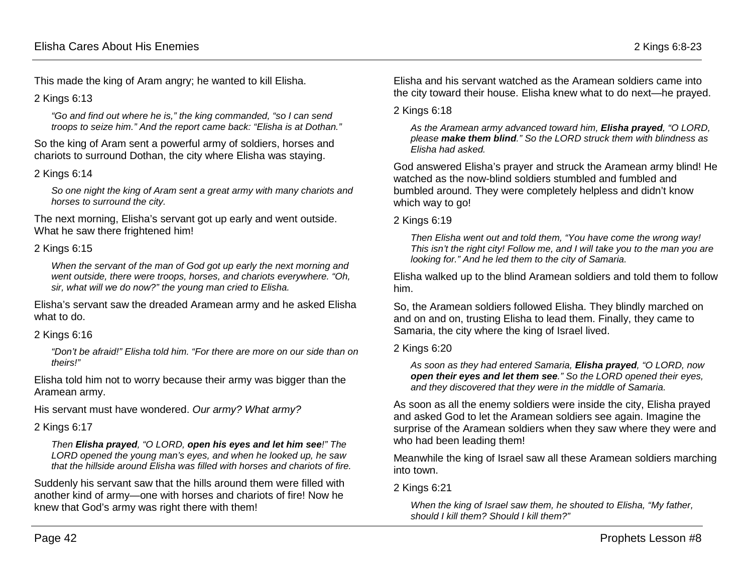This made the king of Aram angry; he wanted to kill Elisha.

2 Kings 6:13

*"Go and find out where he is," the king commanded, "so I can send troops to seize him." And the report came back: "Elisha is at Dothan."*

So the king of Aram sent a powerful army of soldiers, horses and chariots to surround Dothan, the city where Elisha was staying.

### 2 Kings 6:14

*So one night the king of Aram sent a great army with many chariots and horses to surround the city.*

The next morning, Elisha's servant got up early and went outside. What he saw there frightened him!

#### 2 Kings 6:15

*When the servant of the man of God got up early the next morning and went outside, there were troops, horses, and chariots everywhere. "Oh, sir, what will we do now?" the young man cried to Elisha.*

Elisha's servant saw the dreaded Aramean army and he asked Elisha what to do.

### 2 Kings 6:16

*"Don't be afraid!" Elisha told him. "For there are more on our side than on theirs!"*

Elisha told him not to worry because their army was bigger than the Aramean army.

His servant must have wondered. *Our army? What army?* 

### 2 Kings 6:17

*Then Elisha prayed, "O LORD, open his eyes and let him see!" The LORD opened the young man's eyes, and when he looked up, he saw that the hillside around Elisha was filled with horses and chariots of fire.*

Suddenly his servant saw that the hills around them were filled with another kind of army—one with horses and chariots of fire! Now he knew that God's army was right there with them!

Elisha and his servant watched as the Aramean soldiers came into the city toward their house. Elisha knew what to do next—he prayed.

#### 2 Kings 6:18

*As the Aramean army advanced toward him, Elisha prayed, "O LORD, please make them blind." So the LORD struck them with blindness as Elisha had asked.*

God answered Elisha's prayer and struck the Aramean army blind! He watched as the now-blind soldiers stumbled and fumbled and bumbled around. They were completely helpless and didn't know which way to go!

#### 2 Kings 6:19

*Then Elisha went out and told them, "You have come the wrong way! This isn't the right city! Follow me, and I will take you to the man you are looking for." And he led them to the city of Samaria.*

Elisha walked up to the blind Aramean soldiers and told them to follow him.

So, the Aramean soldiers followed Elisha. They blindly marched on and on and on, trusting Elisha to lead them. Finally, they came to Samaria, the city where the king of Israel lived.

### 2 Kings 6:20

*As soon as they had entered Samaria, Elisha prayed, "O LORD, now open their eyes and let them see." So the LORD opened their eyes, and they discovered that they were in the middle of Samaria.*

As soon as all the enemy soldiers were inside the city, Elisha prayed and asked God to let the Aramean soldiers see again. Imagine the surprise of the Aramean soldiers when they saw where they were and who had been leading them!

Meanwhile the king of Israel saw all these Aramean soldiers marching into town.

### 2 Kings 6:21

*When the king of Israel saw them, he shouted to Elisha, "My father, should I kill them? Should I kill them?"*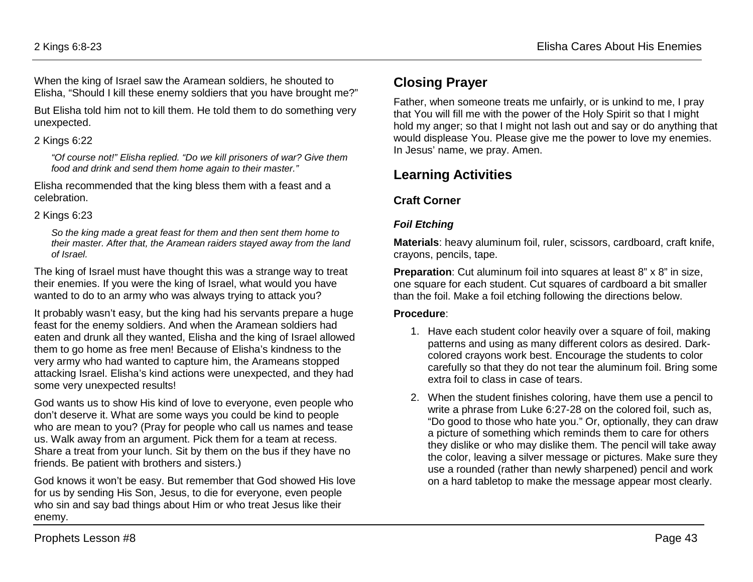When the king of Israel saw the Aramean soldiers, he shouted to Elisha, "Should I kill these enemy soldiers that you have brought me?"

But Elisha told him not to kill them. He told them to do something very unexpected.

### 2 Kings 6:22

*"Of course not!" Elisha replied. "Do we kill prisoners of war? Give them food and drink and send them home again to their master."*

Elisha recommended that the king bless them with a feast and a celebration.

### 2 Kings 6:23

*So the king made a great feast for them and then sent them home to their master. After that, the Aramean raiders stayed away from the land of Israel.*

The king of Israel must have thought this was a strange way to treat their enemies. If you were the king of Israel, what would you have wanted to do to an army who was always trying to attack you?

It probably wasn't easy, but the king had his servants prepare a huge feast for the enemy soldiers. And when the Aramean soldiers had eaten and drunk all they wanted, Elisha and the king of Israel allowed them to go home as free men! Because of Elisha's kindness to the very army who had wanted to capture him, the Arameans stopped attacking Israel. Elisha's kind actions were unexpected, and they had some very unexpected results!

God wants us to show His kind of love to everyone, even people who don't deserve it. What are some ways you could be kind to people who are mean to you? (Pray for people who call us names and tease us. Walk away from an argument. Pick them for a team at recess. Share a treat from your lunch. Sit by them on the bus if they have no friends. Be patient with brothers and sisters.)

God knows it won't be easy. But remember that God showed His love for us by sending His Son, Jesus, to die for everyone, even people who sin and say bad things about Him or who treat Jesus like their enemy.

# **Closing Prayer**

Father, when someone treats me unfairly, or is unkind to me, I pray that You will fill me with the power of the Holy Spirit so that I might hold my anger; so that I might not lash out and say or do anything that would displease You. Please give me the power to love my enemies. In Jesus' name, we pray. Amen.

# **Learning Activities**

### **Craft Corner**

### *Foil Etching*

**Materials**: heavy aluminum foil, ruler, scissors, cardboard, craft knife, crayons, pencils, tape.

**Preparation**: Cut aluminum foil into squares at least 8" x 8" in size, one square for each student. Cut squares of cardboard a bit smaller than the foil. Make a foil etching following the directions below.

### **Procedure**:

- 1. Have each student color heavily over a square of foil, making patterns and using as many different colors as desired. Darkcolored crayons work best. Encourage the students to color carefully so that they do not tear the aluminum foil. Bring some extra foil to class in case of tears.
- 2. When the student finishes coloring, have them use a pencil to write a phrase from Luke 6:27-28 on the colored foil, such as, "Do good to those who hate you." Or, optionally, they can draw a picture of something which reminds them to care for others they dislike or who may dislike them. The pencil will take away the color, leaving a silver message or pictures. Make sure they use a rounded (rather than newly sharpened) pencil and work on a hard tabletop to make the message appear most clearly.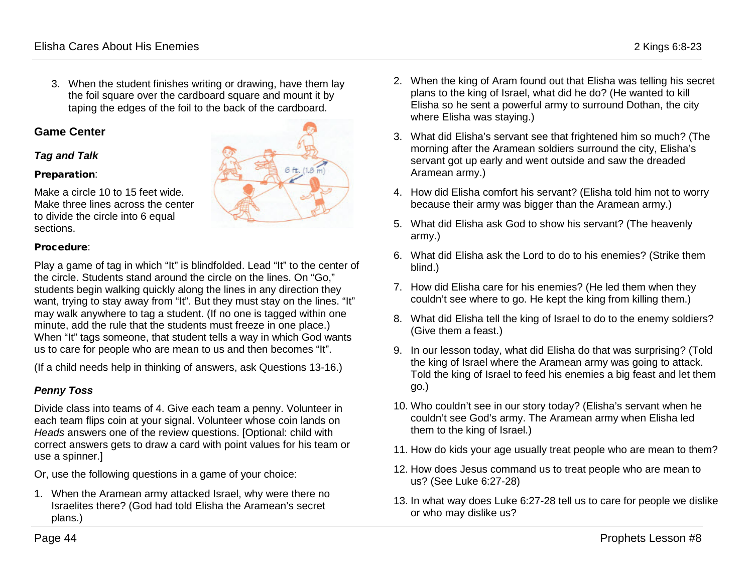3. When the student finishes writing or drawing, have them lay the foil square over the cardboard square and mount it by taping the edges of the foil to the back of the cardboard.

#### **Game Center**

#### *Tag and Talk*

#### Preparation:

Make a circle 10 to 15 feet wide. Make three lines across the center to divide the circle into 6 equal sections.

#### Procedure:

Play a game of tag in which "It" is blindfolded. Lead "It" to the center of the circle. Students stand around the circle on the lines. On "Go," students begin walking quickly along the lines in any direction they want, trying to stay away from "It". But they must stay on the lines. "It" may walk anywhere to tag a student. (If no one is tagged within one minute, add the rule that the students must freeze in one place.) When "It" tags someone, that student tells a way in which God wants us to care for people who are mean to us and then becomes "It".

(If a child needs help in thinking of answers, ask Questions 13-16.)

#### *Penny Toss*

Divide class into teams of 4. Give each team a penny. Volunteer in each team flips coin at your signal. Volunteer whose coin lands on *Heads* answers one of the review questions. [Optional: child with correct answers gets to draw a card with point values for his team or use a spinner.]

Or, use the following questions in a game of your choice:

1. When the Aramean army attacked Israel, why were there no Israelites there? (God had told Elisha the Aramean's secret plans.)

- 2. When the king of Aram found out that Elisha was telling his secret plans to the king of Israel, what did he do? (He wanted to kill Elisha so he sent a powerful army to surround Dothan, the city where Elisha was staying.)
- 3. What did Elisha's servant see that frightened him so much? (The morning after the Aramean soldiers surround the city, Elisha's servant got up early and went outside and saw the dreaded Aramean army.)
- 4. How did Elisha comfort his servant? (Elisha told him not to worry because their army was bigger than the Aramean army.)
- 5. What did Elisha ask God to show his servant? (The heavenly army.)
- 6. What did Elisha ask the Lord to do to his enemies? (Strike them blind.)
- 7. How did Elisha care for his enemies? (He led them when they couldn't see where to go. He kept the king from killing them.)
- 8. What did Elisha tell the king of Israel to do to the enemy soldiers? (Give them a feast.)
- 9. In our lesson today, what did Elisha do that was surprising? (Told the king of Israel where the Aramean army was going to attack. Told the king of Israel to feed his enemies a big feast and let them go.)
- 10. Who couldn't see in our story today? (Elisha's servant when he couldn't see God's army. The Aramean army when Elisha led them to the king of Israel.)
- 11. How do kids your age usually treat people who are mean to them?
- 12. How does Jesus command us to treat people who are mean to us? (See Luke 6:27-28)
- 13. In what way does Luke 6:27-28 tell us to care for people we dislike or who may dislike us?